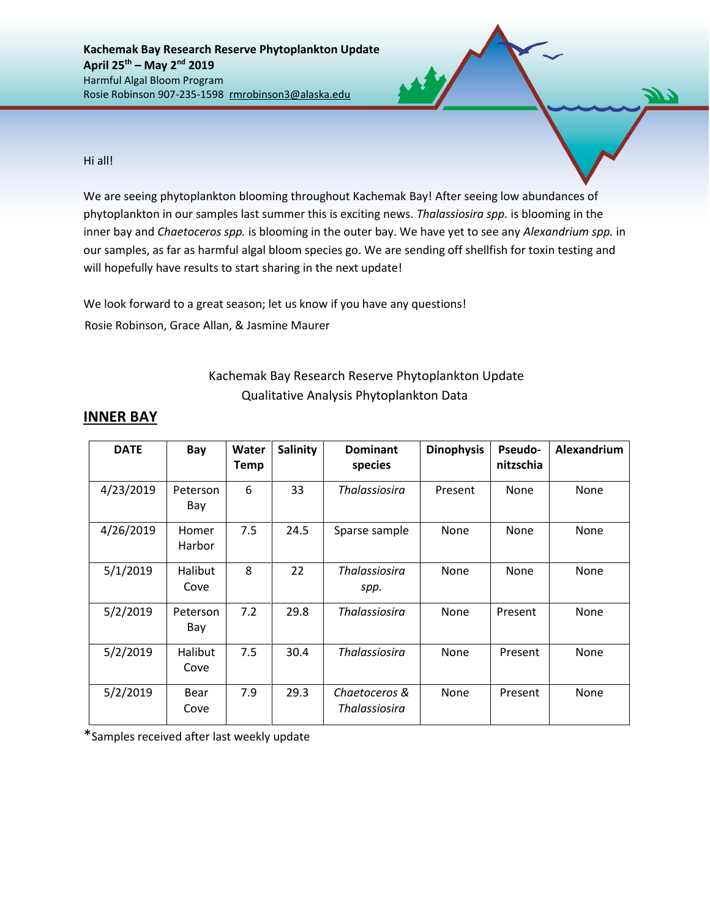**Kachemak Bay Research Reserve Phytoplankton Update April 25th – May 2nd 2019** Harmful Algal Bloom Program Rosie Robinson 907-235-1598 rmrobinson3@alaska.edu

Hi all!

We are seeing phytoplankton blooming throughout Kachemak Bay! After seeing low abundances of phytoplankton in our samples last summer this is exciting news. *Thalassiosira spp.* is blooming in the inner bay and *Chaetoceros spp.* is blooming in the outer bay. We have yet to see any *Alexandrium spp.* in our samples, as far as harmful algal bloom species go. We are sending off shellfish for toxin testing and will hopefully have results to start sharing in the next update!

We look forward to a great season; let us know if you have any questions! Rosie Robinson, Grace Allan, & Jasmine Maurer

## Kachemak Bay Research Reserve Phytoplankton Update Qualitative Analysis Phytoplankton Data

| <b>DATE</b> | Bay                    | Water<br><b>Temp</b> | Salinity | <b>Dominant</b><br>species     | <b>Dinophysis</b> | <b>Pseudo-</b><br>nitzschia | Alexandrium |
|-------------|------------------------|----------------------|----------|--------------------------------|-------------------|-----------------------------|-------------|
| 4/23/2019   | Peterson<br>Bay        | 6                    | 33       | Thalassiosira                  | Present           | None                        | None        |
| 4/26/2019   | Homer<br>Harbor        | 7.5                  | 24.5     | Sparse sample                  | None              | None                        | None        |
| 5/1/2019    | <b>Halibut</b><br>Cove | 8                    | 22       | <b>Thalassiosira</b><br>spp.   | None              | None                        | None        |
| 5/2/2019    | Peterson<br>Bay        | 7.2                  | 29.8     | <b>Thalassiosira</b>           | None              | Present                     | None        |
| 5/2/2019    | Halibut<br>Cove        | 7.5                  | 30.4     | <b>Thalassiosira</b>           | None              | Present                     | None        |
| 5/2/2019    | Bear<br>Cove           | 7.9                  | 29.3     | Chaetoceros &<br>Thalassiosira | None              | Present                     | None        |

## **INNER BAY**

\*Samples received after last weekly update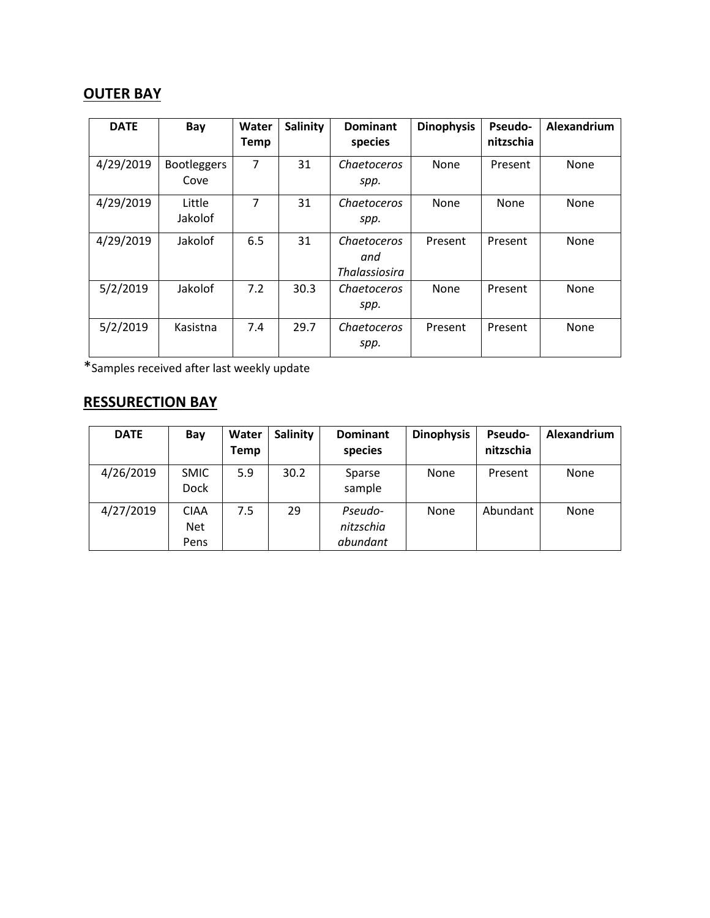## **OUTER BAY**

| <b>DATE</b> | Bay                        | Water<br><b>Temp</b> | Salinity | <b>Dominant</b><br>species                 | <b>Dinophysis</b> | <b>Pseudo-</b><br>nitzschia | Alexandrium |
|-------------|----------------------------|----------------------|----------|--------------------------------------------|-------------------|-----------------------------|-------------|
| 4/29/2019   | <b>Bootleggers</b><br>Cove | 7                    | 31       | Chaetoceros<br>spp.                        | None              | Present                     | None        |
| 4/29/2019   | Little<br>Jakolof          | 7                    | 31       | Chaetoceros<br>spp.                        | None              | None                        | None        |
| 4/29/2019   | Jakolof                    | 6.5                  | 31       | Chaetoceros<br>and<br><b>Thalassiosira</b> | Present           | Present                     | None        |
| 5/2/2019    | Jakolof                    | 7.2                  | 30.3     | <b>Chaetoceros</b><br>spp.                 | None              | Present                     | None        |
| 5/2/2019    | Kasistna                   | 7.4                  | 29.7     | Chaetoceros<br>spp.                        | Present           | Present                     | None        |

\*Samples received after last weekly update

## **RESSURECTION BAY**

| <b>DATE</b> | Bay                               | Water<br><b>Temp</b> | Salinity | <b>Dominant</b><br>species       | <b>Dinophysis</b> | <b>Pseudo-</b><br>nitzschia | Alexandrium |
|-------------|-----------------------------------|----------------------|----------|----------------------------------|-------------------|-----------------------------|-------------|
| 4/26/2019   | <b>SMIC</b><br><b>Dock</b>        | 5.9                  | 30.2     | Sparse<br>sample                 | None              | Present                     | None        |
| 4/27/2019   | <b>CIAA</b><br><b>Net</b><br>Pens | 7.5                  | 29       | Pseudo-<br>nitzschia<br>abundant | None              | Abundant                    | None        |